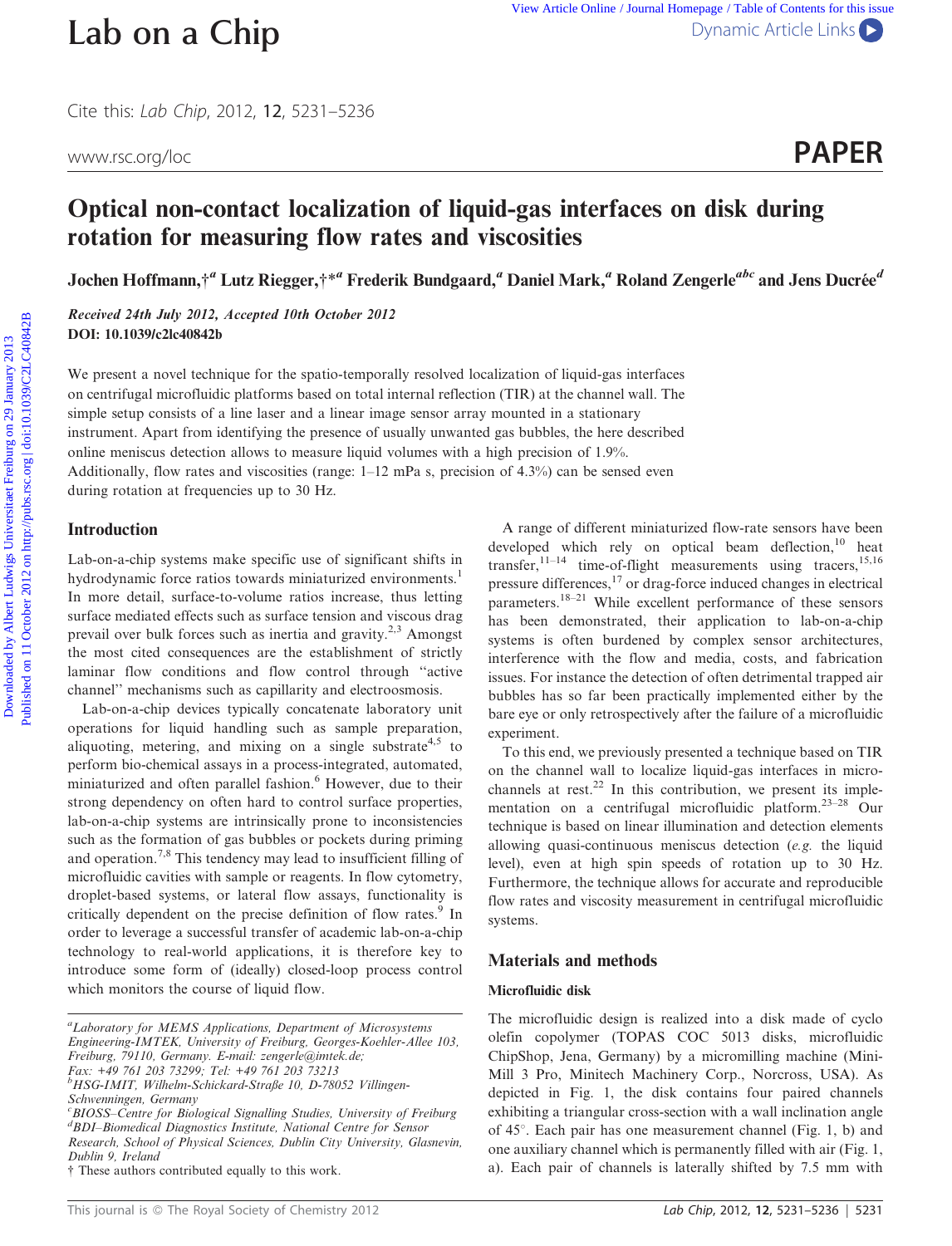Cite this: Lab Chip, 2012, 12, 5231–5236

## Optical non-contact localization of liquid-gas interfaces on disk during rotation for measuring flow rates and viscosities

Jochen Hoffmann,<sup>†</sup> Lutz Riegger,†\* Frederik Bundgaard, Daniel Mark, Roland Zengerle<sup>abc</sup> and Jens Ducrée<sup>d</sup>

Received 24th July 2012, Accepted 10th October 2012 DOI: 10.1039/c2lc40842b

We present a novel technique for the spatio-temporally resolved localization of liquid-gas interfaces on centrifugal microfluidic platforms based on total internal reflection (TIR) at the channel wall. The simple setup consists of a line laser and a linear image sensor array mounted in a stationary instrument. Apart from identifying the presence of usually unwanted gas bubbles, the here described online meniscus detection allows to measure liquid volumes with a high precision of 1.9%. Additionally, flow rates and viscosities (range:  $1-12$  mPa s, precision of 4.3%) can be sensed even during rotation at frequencies up to 30 Hz.

# Introduction Lab-on-a-chip systems make specific use of significant shifts in hydrodynamic force ratios towards miniaturized environments.<sup>1</sup>

In more detail, surface-to-volume ratios increase, thus letting surface mediated effects such as surface tension and viscous drag prevail over bulk forces such as inertia and gravity.2,3 Amongst the most cited consequences are the establishment of strictly laminar flow conditions and flow control through ''active channel'' mechanisms such as capillarity and electroosmosis.

Lab-on-a-chip devices typically concatenate laboratory unit operations for liquid handling such as sample preparation, aliquoting, metering, and mixing on a single substrate<sup>4,5</sup> to perform bio-chemical assays in a process-integrated, automated, miniaturized and often parallel fashion.<sup>6</sup> However, due to their strong dependency on often hard to control surface properties, lab-on-a-chip systems are intrinsically prone to inconsistencies such as the formation of gas bubbles or pockets during priming and operation.7,8 This tendency may lead to insufficient filling of microfluidic cavities with sample or reagents. In flow cytometry, droplet-based systems, or lateral flow assays, functionality is critically dependent on the precise definition of flow rates.<sup>9</sup> In order to leverage a successful transfer of academic lab-on-a-chip technology to real-world applications, it is therefore key to introduce some form of (ideally) closed-loop process control which monitors the course of liquid flow.

Fax: +49 761 203 73299; Tel: +49 761 203 73213

This journal is © The Royal Society of Chemistry 2012 **Lab Chip, 2012, 12, 5231–5236** | 5231

A range of different miniaturized flow-rate sensors have been developed which rely on optical beam deflection,<sup>10</sup> heat transfer,  $11-14$  time-of-flight measurements using tracers,  $15,16$ pressure differences,<sup>17</sup> or drag-force induced changes in electrical parameters.18–21 While excellent performance of these sensors has been demonstrated, their application to lab-on-a-chip systems is often burdened by complex sensor architectures, interference with the flow and media, costs, and fabrication issues. For instance the detection of often detrimental trapped air bubbles has so far been practically implemented either by the bare eye or only retrospectively after the failure of a microfluidic experiment. **Lab on a Chip**<br>
Use Artist Duta : Journal Home Symmic Article Links Comparison Contents Comparison Contents Comparison Contents University 2012 12, 5231-5236<br>
www.secong/loc<br> **Optical non-contact localization of liquid-g** 

> To this end, we previously presented a technique based on TIR on the channel wall to localize liquid-gas interfaces in microchannels at rest.<sup>22</sup> In this contribution, we present its implementation on a centrifugal microfluidic platform.23–28 Our technique is based on linear illumination and detection elements allowing quasi-continuous meniscus detection (e.g. the liquid level), even at high spin speeds of rotation up to 30 Hz. Furthermore, the technique allows for accurate and reproducible flow rates and viscosity measurement in centrifugal microfluidic systems.

### Materials and methods

#### Microfluidic disk

The microfluidic design is realized into a disk made of cyclo olefin copolymer (TOPAS COC 5013 disks, microfluidic ChipShop, Jena, Germany) by a micromilling machine (Mini-Mill 3 Pro, Minitech Machinery Corp., Norcross, USA). As depicted in Fig. 1, the disk contains four paired channels exhibiting a triangular cross-section with a wall inclination angle of  $45^\circ$ . Each pair has one measurement channel (Fig. 1, b) and one auxiliary channel which is permanently filled with air (Fig. 1, a). Each pair of channels is laterally shifted by 7.5 mm with

<sup>&</sup>lt;sup>a</sup>Laboratory for MEMS Applications, Department of Microsystems Engineering-IMTEK, University of Freiburg, Georges-Koehler-Allee 103, Freiburg, 79110, Germany. E-mail: zengerle@imtek.de;

b HSG-IMIT, Wilhelm-Schickard-Straße 10, D-78052 Villingen-Schwenningen, Germany

<sup>&</sup>lt;sup>c</sup>BIOSS–Centre for Biological Signalling Studies, University of Freiburg d BDI–Biomedical Diagnostics Institute, National Centre for Sensor Research, School of Physical Sciences, Dublin City University, Glasnevin, Dublin 9, Ireland

 $\dagger$  These authors contributed equally to this work.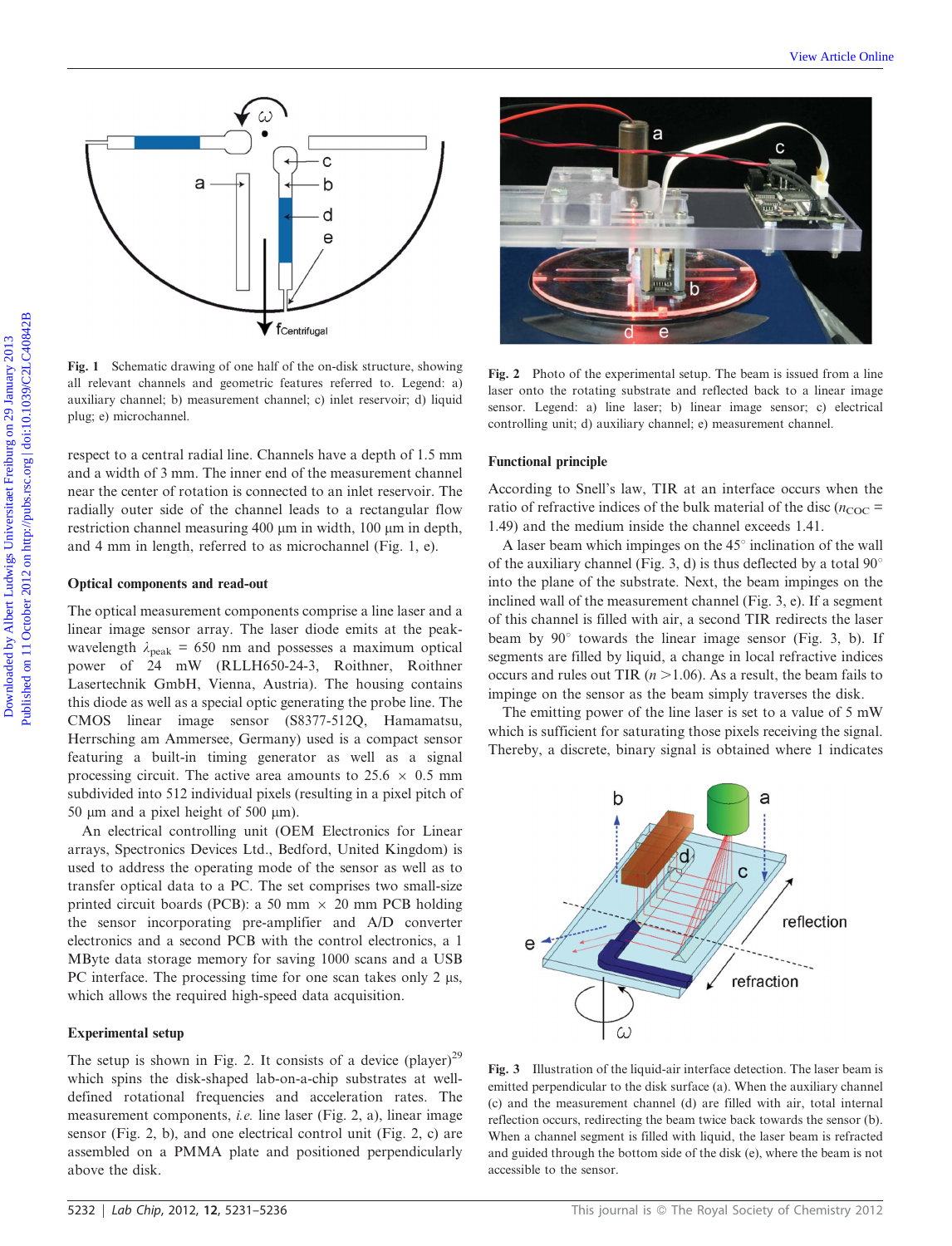

Fig. 1 Schematic drawing of one half of the on-disk structure, showing all relevant channels and geometric features referred to. Legend: a) auxiliary channel; b) measurement channel; c) inlet reservoir; d) liquid plug; e) microchannel.

respect to a central radial line. Channels have a depth of 1.5 mm and a width of 3 mm. The inner end of the measurement channel near the center of rotation is connected to an inlet reservoir. The radially outer side of the channel leads to a rectangular flow restriction channel measuring 400 µm in width, 100 µm in depth, and 4 mm in length, referred to as microchannel (Fig. 1, e).

#### Optical components and read-out

The optical measurement components comprise a line laser and a linear image sensor array. The laser diode emits at the peakwavelength  $\lambda_{peak}$  = 650 nm and possesses a maximum optical power of 24 mW (RLLH650-24-3, Roithner, Roithner Lasertechnik GmbH, Vienna, Austria). The housing contains this diode as well as a special optic generating the probe line. The CMOS linear image sensor (S8377-512Q, Hamamatsu, Herrsching am Ammersee, Germany) used is a compact sensor featuring a built-in timing generator as well as a signal processing circuit. The active area amounts to  $25.6 \times 0.5$  mm subdivided into 512 individual pixels (resulting in a pixel pitch of 50  $\mu$ m and a pixel height of 500  $\mu$ m).

An electrical controlling unit (OEM Electronics for Linear arrays, Spectronics Devices Ltd., Bedford, United Kingdom) is used to address the operating mode of the sensor as well as to transfer optical data to a PC. The set comprises two small-size printed circuit boards (PCB): a 50 mm  $\times$  20 mm PCB holding the sensor incorporating pre-amplifier and A/D converter electronics and a second PCB with the control electronics, a 1 MByte data storage memory for saving 1000 scans and a USB PC interface. The processing time for one scan takes only  $2 \mu s$ , which allows the required high-speed data acquisition.

#### Experimental setup

The setup is shown in Fig. 2. It consists of a device  $(player)^{29}$ which spins the disk-shaped lab-on-a-chip substrates at welldefined rotational frequencies and acceleration rates. The measurement components, i.e. line laser (Fig. 2, a), linear image sensor (Fig. 2, b), and one electrical control unit (Fig. 2, c) are assembled on a PMMA plate and positioned perpendicularly above the disk.



Fig. 2 Photo of the experimental setup. The beam is issued from a line laser onto the rotating substrate and reflected back to a linear image sensor. Legend: a) line laser; b) linear image sensor; c) electrical controlling unit; d) auxiliary channel; e) measurement channel.

#### Functional principle

According to Snell's law, TIR at an interface occurs when the ratio of refractive indices of the bulk material of the disc ( $n_{\text{COC}}$  = 1.49) and the medium inside the channel exceeds 1.41.

A laser beam which impinges on the  $45^\circ$  inclination of the wall of the auxiliary channel (Fig. 3, d) is thus deflected by a total  $90^{\circ}$ into the plane of the substrate. Next, the beam impinges on the inclined wall of the measurement channel (Fig. 3, e). If a segment of this channel is filled with air, a second TIR redirects the laser beam by  $90^\circ$  towards the linear image sensor (Fig. 3, b). If segments are filled by liquid, a change in local refractive indices occurs and rules out TIR ( $n > 1.06$ ). As a result, the beam fails to impinge on the sensor as the beam simply traverses the disk.

The emitting power of the line laser is set to a value of 5 mW which is sufficient for saturating those pixels receiving the signal. Thereby, a discrete, binary signal is obtained where 1 indicates



Fig. 3 Illustration of the liquid-air interface detection. The laser beam is emitted perpendicular to the disk surface (a). When the auxiliary channel (c) and the measurement channel (d) are filled with air, total internal reflection occurs, redirecting the beam twice back towards the sensor (b). When a channel segment is filled with liquid, the laser beam is refracted and guided through the bottom side of the disk (e), where the beam is not accessible to the sensor.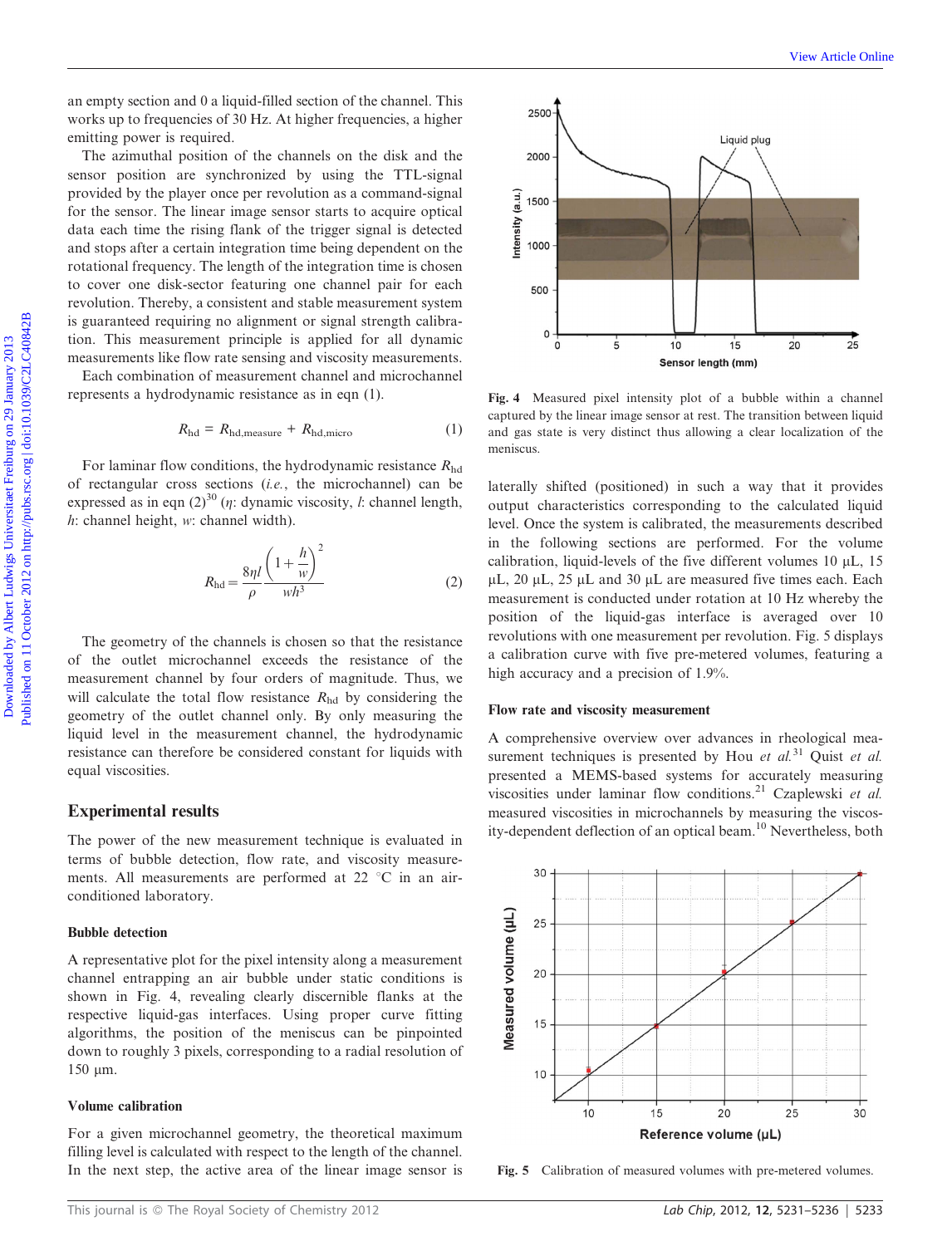an empty section and 0 a liquid-filled section of the channel. This works up to frequencies of 30 Hz. At higher frequencies, a higher emitting power is required.

The azimuthal position of the channels on the disk and the sensor position are synchronized by using the TTL-signal provided by the player once per revolution as a command-signal for the sensor. The linear image sensor starts to acquire optical data each time the rising flank of the trigger signal is detected and stops after a certain integration time being dependent on the rotational frequency. The length of the integration time is chosen to cover one disk-sector featuring one channel pair for each revolution. Thereby, a consistent and stable measurement system is guaranteed requiring no alignment or signal strength calibration. This measurement principle is applied for all dynamic measurements like flow rate sensing and viscosity measurements.

Each combination of measurement channel and microchannel represents a hydrodynamic resistance as in eqn (1).

$$
R_{\rm hd} = R_{\rm hd, measure} + R_{\rm hd, micro}
$$
 (1)

For laminar flow conditions, the hydrodynamic resistance  $R_{\text{hd}}$ of rectangular cross sections (i.e., the microchannel) can be expressed as in eqn  $(2)^{30}$  (*n*: dynamic viscosity, *l*: channel length, h: channel height, w: channel width).

$$
R_{\rm hd} = \frac{8\eta l}{\rho} \frac{\left(1 + \frac{h}{w}\right)^2}{wh^3} \tag{2}
$$

The geometry of the channels is chosen so that the resistance of the outlet microchannel exceeds the resistance of the measurement channel by four orders of magnitude. Thus, we will calculate the total flow resistance  $R_{\text{hd}}$  by considering the geometry of the outlet channel only. By only measuring the liquid level in the measurement channel, the hydrodynamic resistance can therefore be considered constant for liquids with equal viscosities.

#### Experimental results

The power of the new measurement technique is evaluated in terms of bubble detection, flow rate, and viscosity measurements. All measurements are performed at 22  $^{\circ}$ C in an airconditioned laboratory.

#### Bubble detection

A representative plot for the pixel intensity along a measurement channel entrapping an air bubble under static conditions is shown in Fig. 4, revealing clearly discernible flanks at the respective liquid-gas interfaces. Using proper curve fitting algorithms, the position of the meniscus can be pinpointed down to roughly 3 pixels, corresponding to a radial resolution of  $150 \mu m$ .

#### Volume calibration

For a given microchannel geometry, the theoretical maximum filling level is calculated with respect to the length of the channel. In the next step, the active area of the linear image sensor is



Fig. 4 Measured pixel intensity plot of a bubble within a channel captured by the linear image sensor at rest. The transition between liquid and gas state is very distinct thus allowing a clear localization of the meniscus.

laterally shifted (positioned) in such a way that it provides output characteristics corresponding to the calculated liquid level. Once the system is calibrated, the measurements described in the following sections are performed. For the volume calibration, liquid-levels of the five different volumes  $10 \mu L$ ,  $15$  $\mu$ L, 20  $\mu$ L, 25  $\mu$ L and 30  $\mu$ L are measured five times each. Each measurement is conducted under rotation at 10 Hz whereby the position of the liquid-gas interface is averaged over 10 revolutions with one measurement per revolution. Fig. 5 displays a calibration curve with five pre-metered volumes, featuring a high accuracy and a precision of 1.9%.

#### Flow rate and viscosity measurement

A comprehensive overview over advances in rheological measurement techniques is presented by Hou et  $al$ .<sup>31</sup> Quist et al. presented a MEMS-based systems for accurately measuring viscosities under laminar flow conditions.<sup>21</sup> Czaplewski et al. measured viscosities in microchannels by measuring the viscosity-dependent deflection of an optical beam.<sup>10</sup> Nevertheless, both



Fig. 5 Calibration of measured volumes with pre-metered volumes.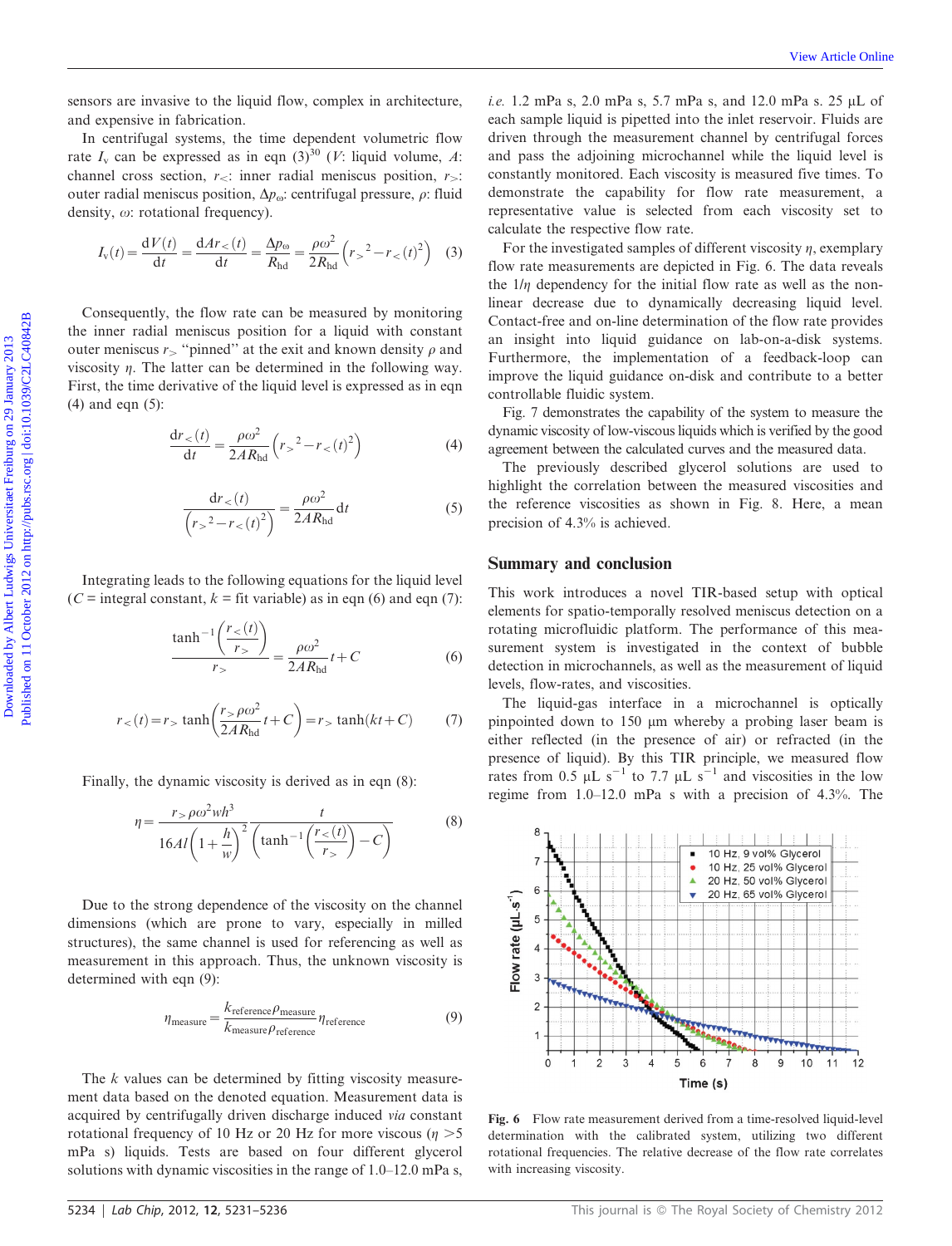sensors are invasive to the liquid flow, complex in architecture, and expensive in fabrication.

In centrifugal systems, the time dependent volumetric flow rate  $I_v$  can be expressed as in eqn  $(3)^{30}$  (*V*: liquid volume, *A*: channel cross section,  $r_{\leq}$ : inner radial meniscus position,  $r_{\geq}$ : outer radial meniscus position,  $\Delta p_{\omega}$ : centrifugal pressure,  $\rho$ : fluid density,  $\omega$ : rotational frequency).

$$
I_{\rm v}(t) = \frac{\mathrm{d}V(t)}{\mathrm{d}t} = \frac{\mathrm{d}Ar}{\mathrm{d}t} = \frac{\Delta p_{\rm o}}{R_{\rm hd}} = \frac{\rho \omega^2}{2R_{\rm hd}} \left(r_{>}^2 - r_{<}(t)^2\right) \tag{3}
$$

Consequently, the flow rate can be measured by monitoring the inner radial meniscus position for a liquid with constant outer meniscus  $r_$  "pinned" at the exit and known density  $\rho$  and viscosity  $\eta$ . The latter can be determined in the following way. First, the time derivative of the liquid level is expressed as in eqn (4) and eqn (5):

$$
\frac{dr_{<}(t)}{dt} = \frac{\rho \omega^2}{2A R_{\text{hd}}} \left( r_{>}^2 - r_{<}(t)^2 \right) \tag{4}
$$

$$
\frac{dr}{(r_0^2 - r_0(t))^2} = \frac{\rho \omega^2}{2AR_{\text{hd}}} dt
$$
 (5)

Integrating leads to the following equations for the liquid level  $(C =$  integral constant,  $k =$  fit variable) as in eqn (6) and eqn (7):

$$
\frac{\tanh^{-1}\left(\frac{r_{<}(t)}{r_{>}}\right)}{r_{>}} = \frac{\rho\omega^2}{2AR_{\text{hd}}}t + C\tag{6}
$$

$$
r_{<} (t) = r_{>} \tanh\left(\frac{r_{>} \rho \omega^2}{2AR_{\text{hd}}}t + C\right) = r_{>} \tanh(kt + C) \tag{7}
$$

Finally, the dynamic viscosity is derived as in eqn (8):

$$
\eta = \frac{r > \rho \omega^2 wh^3}{16Al\left(1 + \frac{h}{w}\right)^2} \frac{t}{\left(\tanh^{-1}\left(\frac{r_{<};t)}{r_{>}}\right) - C\right)}\tag{8}
$$

Due to the strong dependence of the viscosity on the channel dimensions (which are prone to vary, especially in milled structures), the same channel is used for referencing as well as measurement in this approach. Thus, the unknown viscosity is determined with eqn (9):

$$
\eta_{\text{measure}} = \frac{k_{\text{reference}} \rho_{\text{measure}}}{k_{\text{measure}} \rho_{\text{reference}}} \eta_{\text{reference}}
$$
(9)

The k values can be determined by fitting viscosity measurement data based on the denoted equation. Measurement data is acquired by centrifugally driven discharge induced via constant rotational frequency of 10 Hz or 20 Hz for more viscous ( $\eta$  >5 mPa s) liquids. Tests are based on four different glycerol solutions with dynamic viscosities in the range of 1.0–12.0 mPa s,

i.e. 1.2 mPa s, 2.0 mPa s, 5.7 mPa s, and 12.0 mPa s. 25  $\mu$ L of each sample liquid is pipetted into the inlet reservoir. Fluids are driven through the measurement channel by centrifugal forces and pass the adjoining microchannel while the liquid level is constantly monitored. Each viscosity is measured five times. To demonstrate the capability for flow rate measurement, a representative value is selected from each viscosity set to calculate the respective flow rate.

For the investigated samples of different viscosity  $\eta$ , exemplary flow rate measurements are depicted in Fig. 6. The data reveals the  $1/\eta$  dependency for the initial flow rate as well as the nonlinear decrease due to dynamically decreasing liquid level. Contact-free and on-line determination of the flow rate provides an insight into liquid guidance on lab-on-a-disk systems. Furthermore, the implementation of a feedback-loop can improve the liquid guidance on-disk and contribute to a better controllable fluidic system. Download interior is the signif low, complex in architecture,  $Ic = 1.2$  and  $s$ ,  $5.7$  and  $s$ ,  $5.7$  and  $s$ ,  $5.7$  and  $5.7$  and  $5.7$  and  $5.7$  and  $5.7$  and  $5.7$  and  $5.7$  and  $5.7$  and  $5.7$  and  $5.7$  and  $5.7$  and

Fig. 7 demonstrates the capability of the system to measure the dynamic viscosity of low-viscous liquids which is verified by the good agreement between the calculated curves and the measured data.

The previously described glycerol solutions are used to highlight the correlation between the measured viscosities and the reference viscosities as shown in Fig. 8. Here, a mean precision of 4.3% is achieved.

#### Summary and conclusion

This work introduces a novel TIR-based setup with optical elements for spatio-temporally resolved meniscus detection on a rotating microfluidic platform. The performance of this measurement system is investigated in the context of bubble detection in microchannels, as well as the measurement of liquid levels, flow-rates, and viscosities.

The liquid-gas interface in a microchannel is optically pinpointed down to  $150 \mu m$  whereby a probing laser beam is either reflected (in the presence of air) or refracted (in the presence of liquid). By this TIR principle, we measured flow rates from 0.5  $\mu$ L s<sup>-1</sup> to 7.7  $\mu$ L s<sup>-1</sup> and viscosities in the low regime from 1.0–12.0 mPa s with a precision of 4.3%. The



Fig. 6 Flow rate measurement derived from a time-resolved liquid-level determination with the calibrated system, utilizing two different rotational frequencies. The relative decrease of the flow rate correlates with increasing viscosity.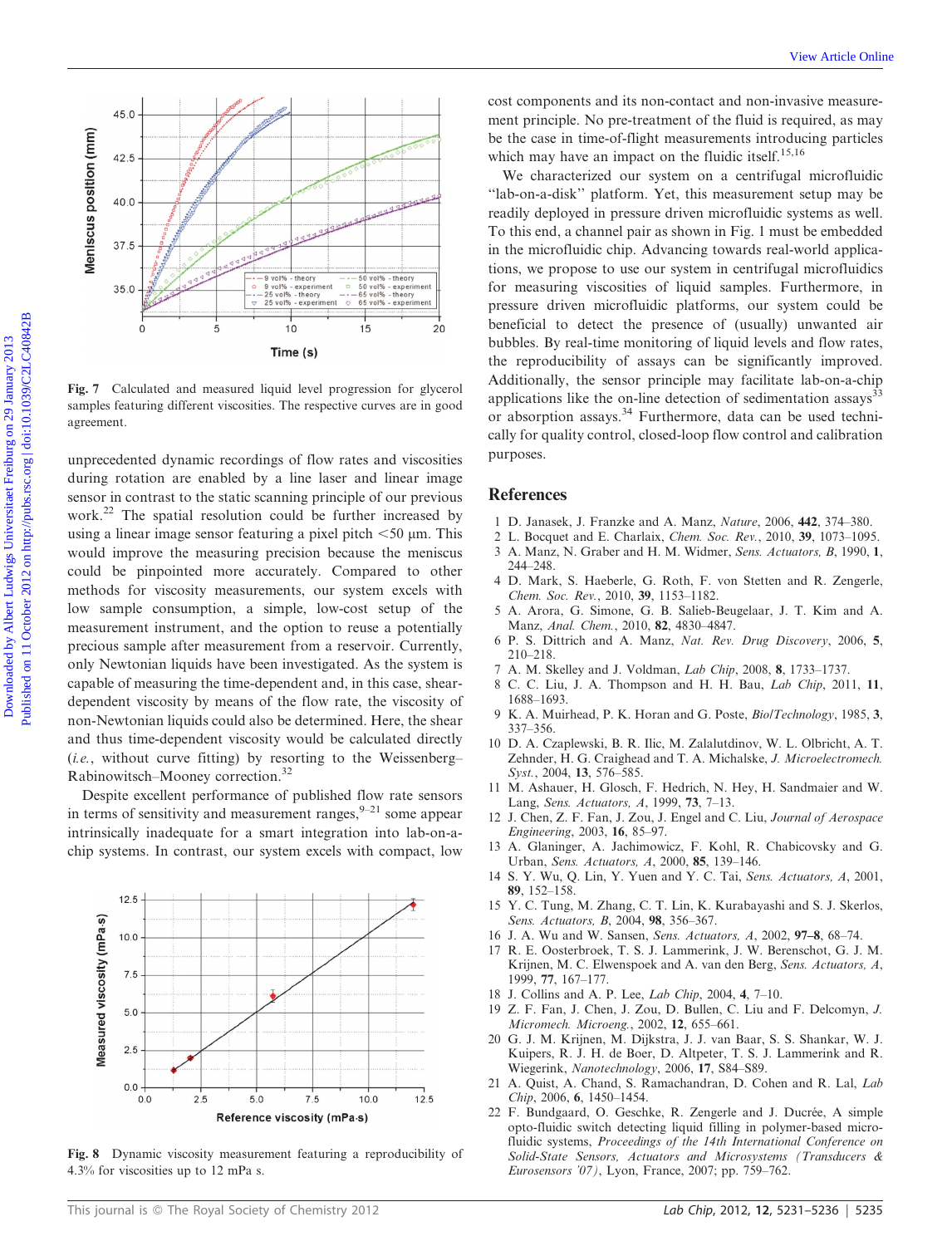

unprecedented dynamic recordings of flow rates and viscosities during rotation are enabled by a line laser and linear image sensor in contrast to the static scanning principle of our previous work.<sup>22</sup> The spatial resolution could be further increased by using a linear image sensor featuring a pixel pitch  $<$  50  $\mu$ m. This would improve the measuring precision because the meniscus could be pinpointed more accurately. Compared to other methods for viscosity measurements, our system excels with low sample consumption, a simple, low-cost setup of the measurement instrument, and the option to reuse a potentially precious sample after measurement from a reservoir. Currently, only Newtonian liquids have been investigated. As the system is capable of measuring the time-dependent and, in this case, sheardependent viscosity by means of the flow rate, the viscosity of non-Newtonian liquids could also be determined. Here, the shear and thus time-dependent viscosity would be calculated directly (i.e., without curve fitting) by resorting to the Weissenberg– Rabinowitsch–Mooney correction.32

Despite excellent performance of published flow rate sensors in terms of sensitivity and measurement ranges,  $9-21$  some appear intrinsically inadequate for a smart integration into lab-on-achip systems. In contrast, our system excels with compact, low



Fig. 8 Dynamic viscosity measurement featuring a reproducibility of 4.3% for viscosities up to 12 mPa s.

cost components and its non-contact and non-invasive measurement principle. No pre-treatment of the fluid is required, as may be the case in time-of-flight measurements introducing particles which may have an impact on the fluidic itself.<sup>15,16</sup>

We characterized our system on a centrifugal microfluidic ''lab-on-a-disk'' platform. Yet, this measurement setup may be readily deployed in pressure driven microfluidic systems as well. To this end, a channel pair as shown in Fig. 1 must be embedded in the microfluidic chip. Advancing towards real-world applications, we propose to use our system in centrifugal microfluidics for measuring viscosities of liquid samples. Furthermore, in pressure driven microfluidic platforms, our system could be beneficial to detect the presence of (usually) unwanted air bubbles. By real-time monitoring of liquid levels and flow rates, the reproducibility of assays can be significantly improved. Additionally, the sensor principle may facilitate lab-on-a-chip applications like the on-line detection of sedimentation assays $33$ or absorption assays.<sup>34</sup> Furthermore, data can be used technically for quality control, closed-loop flow control and calibration purposes. Controlling the state is a state of the state is a state of the state is a state of the state of the state is a state of the state of the state is a state of the state of the state is a state of the state of the state of

#### **References**

- 1 D. Janasek, J. Franzke and A. Manz, Nature, 2006, 442, 374–380.
- 2 L. Bocquet and E. Charlaix, *Chem. Soc. Rev.*, 2010, 39, 1073–1095.<br>3 A. Manz, N. Graber and H. M. Widmer, *Sens. Actuators*, *B*, 1990, 1. A. Manz, N. Graber and H. M. Widmer, Sens. Actuators, B, 1990, 1, 244–248.
- 4 D. Mark, S. Haeberle, G. Roth, F. von Stetten and R. Zengerle, Chem. Soc. Rev., 2010, 39, 1153–1182.
- 5 A. Arora, G. Simone, G. B. Salieb-Beugelaar, J. T. Kim and A. Manz, Anal. Chem., 2010, 82, 4830–4847.
- 6 P. S. Dittrich and A. Manz, Nat. Rev. Drug Discovery, 2006, 5, 210–218.
- 7 A. M. Skelley and J. Voldman, Lab Chip, 2008, 8, 1733–1737.
- 8 C. C. Liu, J. A. Thompson and H. H. Bau, Lab Chip, 2011, 11, 1688–1693.
- 9 K. A. Muirhead, P. K. Horan and G. Poste, Bio/Technology, 1985, 3, 337–356.
- 10 D. A. Czaplewski, B. R. Ilic, M. Zalalutdinov, W. L. Olbricht, A. T. Zehnder, H. G. Craighead and T. A. Michalske, J. Microelectromech. Syst., 2004, 13, 576–585.
- 11 M. Ashauer, H. Glosch, F. Hedrich, N. Hey, H. Sandmaier and W. Lang, Sens. Actuators, A, 1999, 73, 7–13.
- 12 J. Chen, Z. F. Fan, J. Zou, J. Engel and C. Liu, Journal of Aerospace Engineering, 2003, 16, 85–97.
- 13 A. Glaninger, A. Jachimowicz, F. Kohl, R. Chabicovsky and G. Urban, Sens. Actuators, A, 2000, 85, 139–146.
- 14 S. Y. Wu, Q. Lin, Y. Yuen and Y. C. Tai, Sens. Actuators, A, 2001, 89, 152–158.
- 15 Y. C. Tung, M. Zhang, C. T. Lin, K. Kurabayashi and S. J. Skerlos, Sens. Actuators, B, 2004, 98, 356–367.
- 16 J. A. Wu and W. Sansen, Sens. Actuators, A, 2002, 97–8, 68–74.
- 17 R. E. Oosterbroek, T. S. J. Lammerink, J. W. Berenschot, G. J. M. Krijnen, M. C. Elwenspoek and A. van den Berg, Sens. Actuators, A, 1999, 77, 167–177.
- 18 J. Collins and A. P. Lee, Lab Chip, 2004, 4, 7–10.
- 19 Z. F. Fan, J. Chen, J. Zou, D. Bullen, C. Liu and F. Delcomyn, J. Micromech. Microeng., 2002, 12, 655–661.
- 20 G. J. M. Krijnen, M. Dijkstra, J. J. van Baar, S. S. Shankar, W. J. Kuipers, R. J. H. de Boer, D. Altpeter, T. S. J. Lammerink and R. Wiegerink, Nanotechnology, 2006, 17, S84–S89.
- 21 A. Quist, A. Chand, S. Ramachandran, D. Cohen and R. Lal, Lab Chip, 2006, 6, 1450–1454.
- 22 F. Bundgaard, O. Geschke, R. Zengerle and J. Ducrée, A simple opto-fluidic switch detecting liquid filling in polymer-based microfluidic systems, Proceedings of the 14th International Conference on Solid-State Sensors, Actuators and Microsystems (Transducers & Eurosensors '07), Lyon, France, 2007; pp. 759–762.